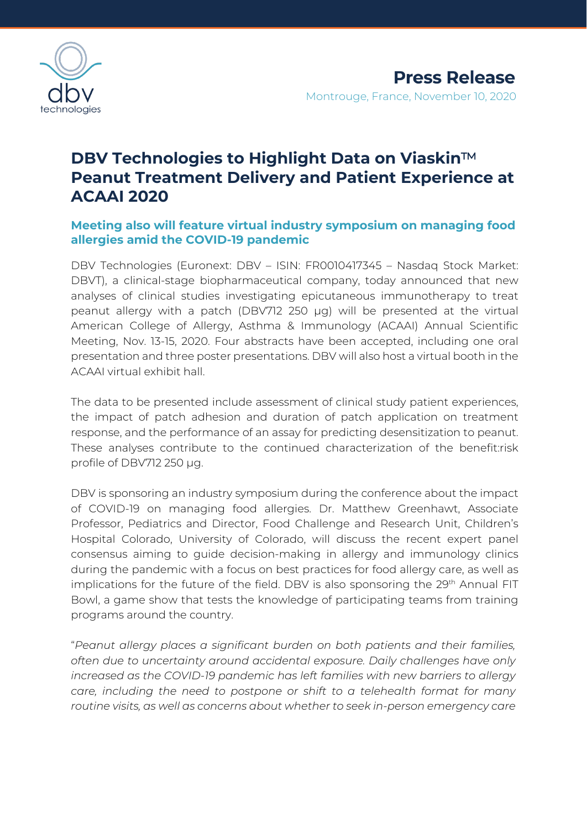

# **DBV Technologies to Highlight Data on Viaskin**™ **Peanut Treatment Delivery and Patient Experience at ACAAI 2020**

# **Meeting also will feature virtual industry symposium on managing food allergies amid the COVID-19 pandemic**

DBV Technologies (Euronext: DBV – ISIN: FR0010417345 – Nasdaq Stock Market: DBVT), a clinical-stage biopharmaceutical company, today announced that new analyses of clinical studies investigating epicutaneous immunotherapy to treat peanut allergy with a patch (DBV712 250 µg) will be presented at the virtual American College of Allergy, Asthma & Immunology (ACAAI) Annual Scientific Meeting, Nov. 13-15, 2020. Four abstracts have been accepted, including one oral presentation and three poster presentations. DBV will also host a virtual booth in the ACAAI virtual exhibit hall.

The data to be presented include assessment of clinical study patient experiences, the impact of patch adhesion and duration of patch application on treatment response, and the performance of an assay for predicting desensitization to peanut. These analyses contribute to the continued characterization of the benefit:risk profile of DBV712 250 µg.

DBV is sponsoring an industry symposium during the conference about the impact of COVID-19 on managing food allergies. Dr. Matthew Greenhawt, Associate Professor, Pediatrics and Director, Food Challenge and Research Unit, Children's Hospital Colorado, University of Colorado, will discuss the recent expert panel consensus aiming to guide decision-making in allergy and immunology clinics during the pandemic with a focus on best practices for food allergy care, as well as implications for the future of the field. DBV is also sponsoring the 29<sup>th</sup> Annual FIT Bowl, a game show that tests the knowledge of participating teams from training programs around the country.

"*Peanut allergy places a significant burden on both patients and their families, often due to uncertainty around accidental exposure. Daily challenges have only increased as the COVID-19 pandemic has left families with new barriers to allergy care, including the need to postpone or shift to a telehealth format for many routine visits, as well as concerns about whether to seek in-person emergency care*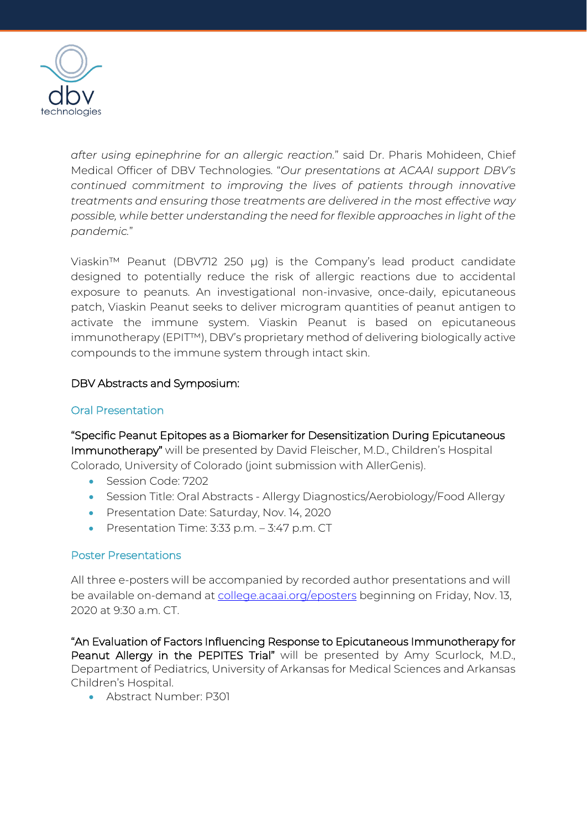

*after using epinephrine for an allergic reaction.*" said Dr. Pharis Mohideen, Chief Medical Officer of DBV Technologies. "*Our presentations at ACAAI support DBV's continued commitment to improving the lives of patients through innovative treatments and ensuring those treatments are delivered in the most effective way possible, while better understanding the need for flexible approaches in light of the pandemic.*"

Viaskin™ Peanut (DBV712 250 μg) is the Company's lead product candidate designed to potentially reduce the risk of allergic reactions due to accidental exposure to peanuts. An investigational non-invasive, once-daily, epicutaneous patch, Viaskin Peanut seeks to deliver microgram quantities of peanut antigen to activate the immune system. Viaskin Peanut is based on epicutaneous immunotherapy (EPIT™), DBV's proprietary method of delivering biologically active compounds to the immune system through intact skin.

# DBV Abstracts and Symposium:

## Oral Presentation

"Specific Peanut Epitopes as a Biomarker for Desensitization During Epicutaneous Immunotherapy" will be presented by David Fleischer, M.D., Children's Hospital Colorado, University of Colorado (joint submission with AllerGenis).

- Session Code: 7202
- Session Title: Oral Abstracts Allergy Diagnostics/Aerobiology/Food Allergy
- Presentation Date: Saturday, Nov. 14, 2020
- Presentation Time: 3:33 p.m. 3:47 p.m. CT

## Poster Presentations

All three e-posters will be accompanied by recorded author presentations and will be available on-demand at [college.acaai.org/eposters](https://college.acaai.org/eposters) beginning on Friday, Nov. 13, 2020 at 9:30 a.m. CT.

"An Evaluation of Factors Influencing Response to Epicutaneous Immunotherapy for Peanut Allergy in the PEPITES Trial" will be presented by Amy Scurlock, M.D., Department of Pediatrics, University of Arkansas for Medical Sciences and Arkansas Children's Hospital.

• Abstract Number: P301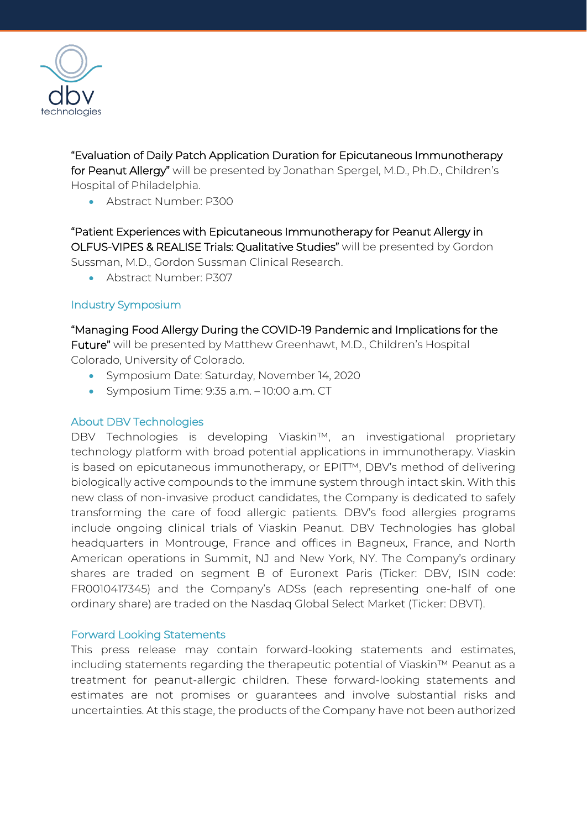

"Evaluation of Daily Patch Application Duration for Epicutaneous Immunotherapy for Peanut Allergy" will be presented by Jonathan Spergel, M.D., Ph.D., Children's Hospital of Philadelphia.

• Abstract Number: P300

"Patient Experiences with Epicutaneous Immunotherapy for Peanut Allergy in OLFUS-VIPES & REALISE Trials: Qualitative Studies" will be presented by Gordon Sussman, M.D., Gordon Sussman Clinical Research.

• Abstract Number: P307

# Industry Symposium

# "Managing Food Allergy During the COVID-19 Pandemic and Implications for the

Future" will be presented by Matthew Greenhawt, M.D., Children's Hospital Colorado, University of Colorado.

- Symposium Date: Saturday, November 14, 2020
- Symposium Time: 9:35 a.m. 10:00 a.m. CT

## About DBV Technologies

DBV Technologies is developing Viaskin™, an investigational proprietary technology platform with broad potential applications in immunotherapy. Viaskin is based on epicutaneous immunotherapy, or EPIT™, DBV's method of delivering biologically active compounds to the immune system through intact skin. With this new class of non-invasive product candidates, the Company is dedicated to safely transforming the care of food allergic patients. DBV's food allergies programs include ongoing clinical trials of Viaskin Peanut. DBV Technologies has global headquarters in Montrouge, France and offices in Bagneux, France, and North American operations in Summit, NJ and New York, NY. The Company's ordinary shares are traded on segment B of Euronext Paris (Ticker: DBV, ISIN code: FR0010417345) and the Company's ADSs (each representing one-half of one ordinary share) are traded on the Nasdaq Global Select Market (Ticker: DBVT).

## Forward Looking Statements

This press release may contain forward-looking statements and estimates, including statements regarding the therapeutic potential of Viaskin™ Peanut as a treatment for peanut-allergic children. These forward-looking statements and estimates are not promises or guarantees and involve substantial risks and uncertainties. At this stage, the products of the Company have not been authorized